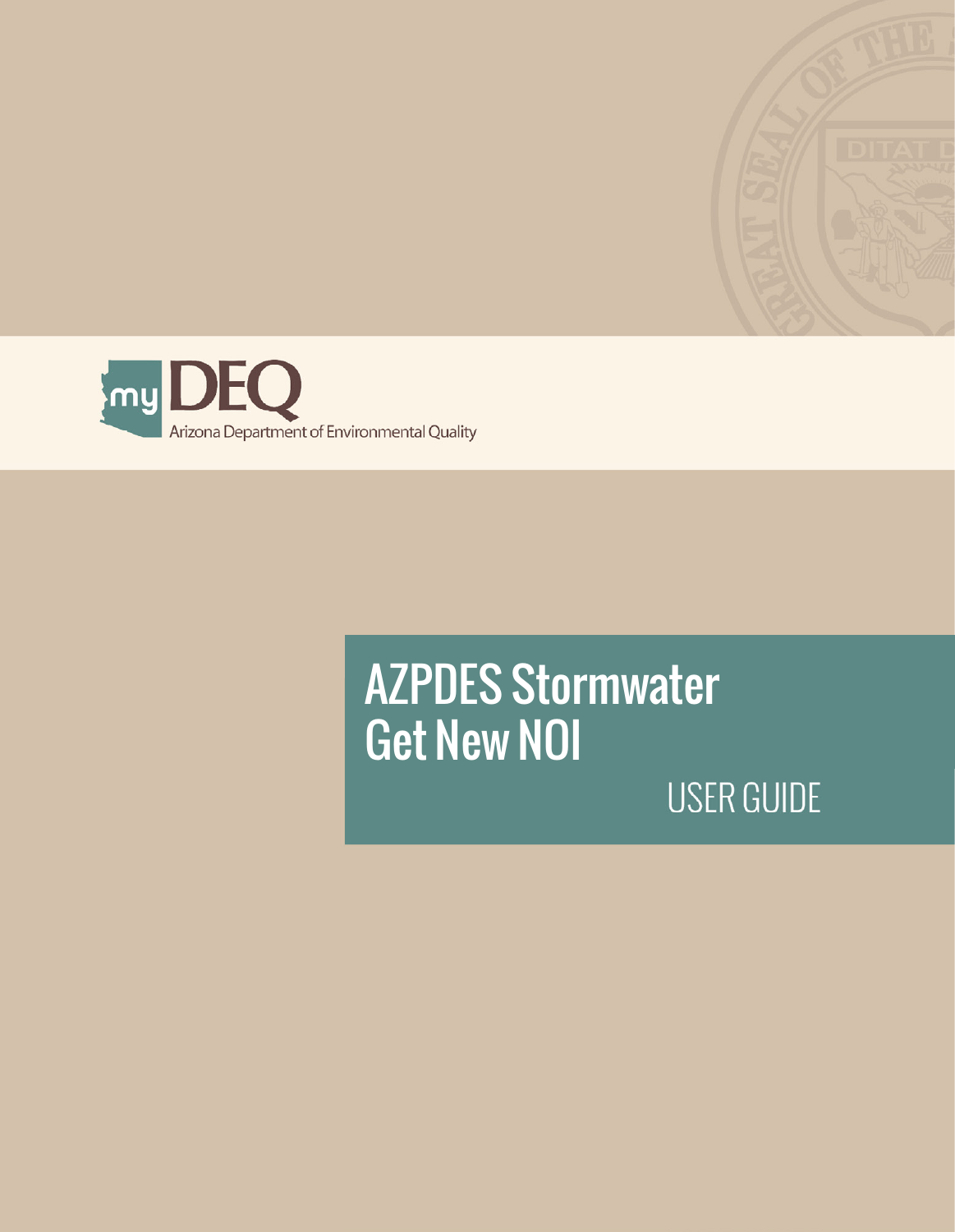



# AZPDES Stormwater **Get New NOI USER GUIDE**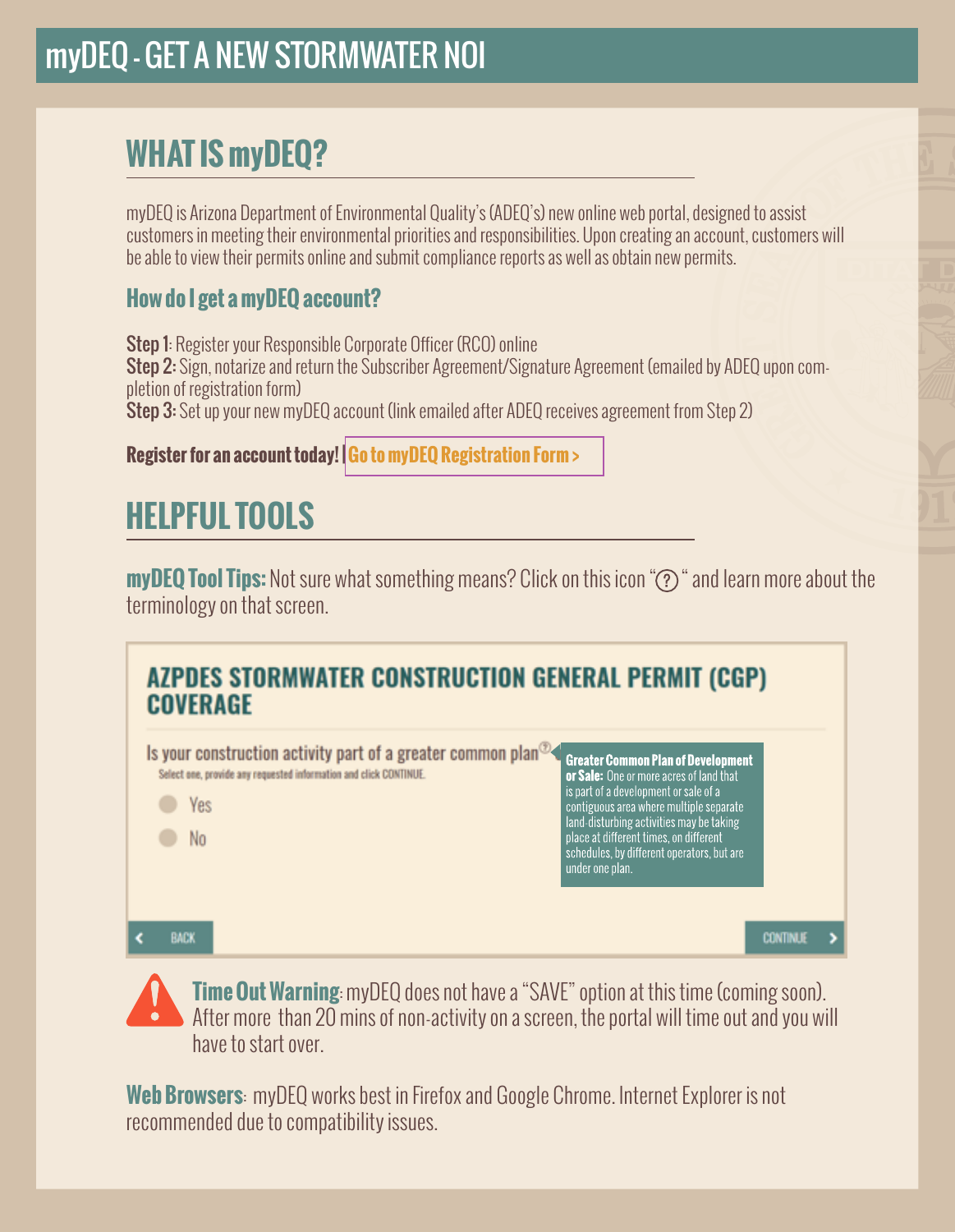### myDEQ – GET A NEW STORMWATER NOI

## **WHAT IS myDEQ?**

myDEQ is Arizona Department of Environmental Quality's (ADEQ's) new online web portal, designed to assist customers in meeting their environmental priorities and responsibilities. Upon creating an account, customers will be able to view their permits online and submit compliance reports as well as obtain new permits.

#### **How do I get a myDEQ account?**

Step 1: Register your Responsible Corporate Officer (RCO) online Step 2: Sign, notarize and return the Subscriber Agreement/Signature Agreement (emailed by ADEQ upon completion of registration form) Step 3: Set up your new myDEO account (link emailed after ADEQ receives agreement from Step 2)

#### **Register for an account today! [| Go to myDEQ Registration Form >](https://my.azdeq.gov/registration/account/are-you-rco)**

## **HELPFUL TOOLS**

**myDEQ Tool Tips:** Not sure what something means? Click on this icon "(?)" and learn more about the terminology on that screen.



**Time Out Warning**: myDEQ does not have a "SAVE" option at this time (coming soon). After more than 20 mins of non-activity on a screen, the portal will time out and you will have to start over.

**Web Browsers**: myDEQ works best in Firefox and Google Chrome. Internet Explorer is not recommended due to compatibility issues.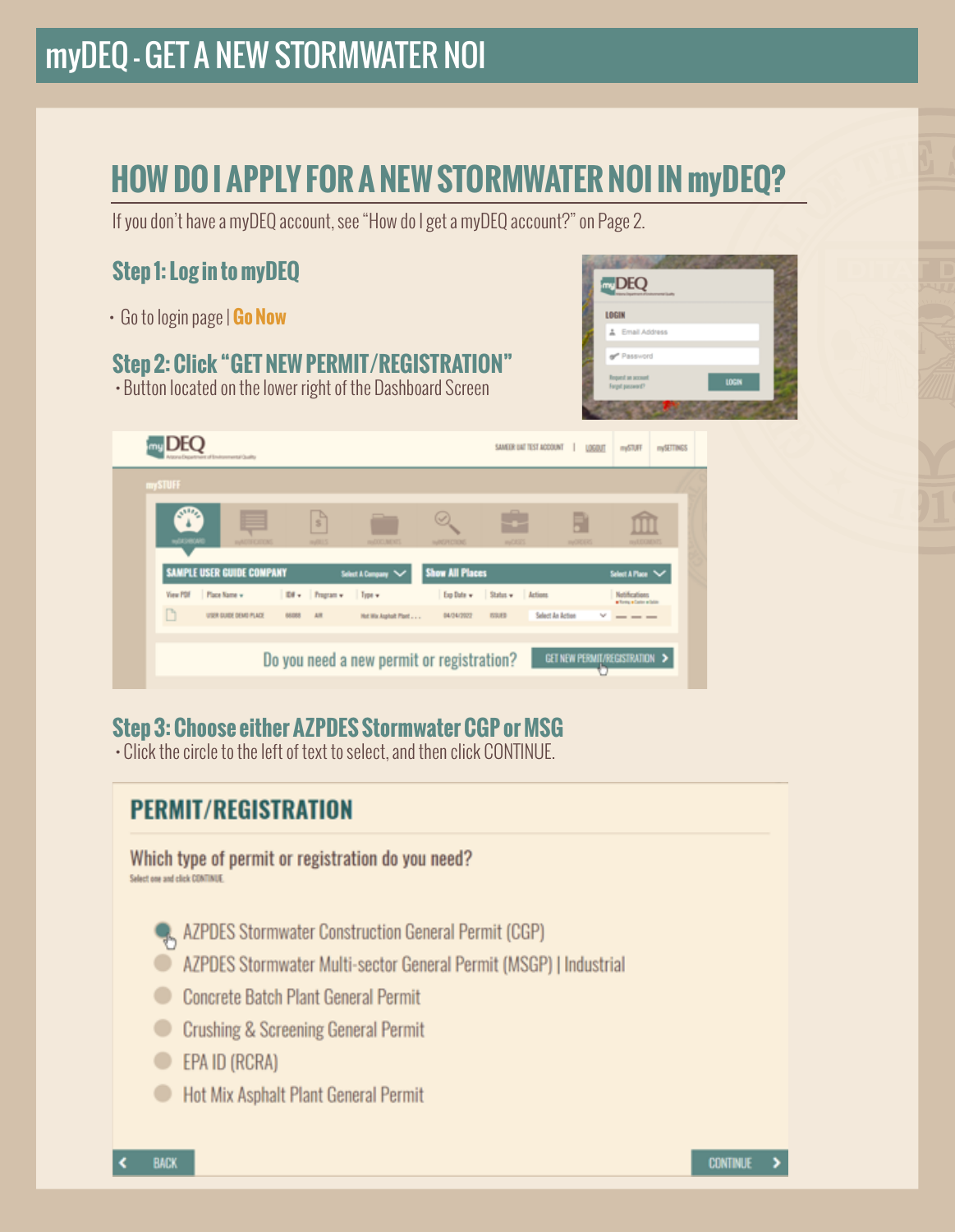### myDEQ – GET A NEW STORMWATER NOI

## **HOW DO I APPLY FOR A NEW STORMWATER NOI IN myDEQ?**

If you don't have a myDEQ account, see "How do I get a myDEQ account?" on Page 2.

#### **Step 1: Log in to myDEQ**

[• Go to login page |](my.azdeq.gov) **Go Now** 

#### **Step 2: Click "GET NEW PERMIT/REGISTRATION"**

• Button located on the lower right of the Dashboard Screen



| myl<br>of Environmental Quality         |                                           |                       |                                 |               | SAMEIR UAT TEST ACCOUNT<br>LOGOUT | mySTUFF                                       | m/SETTINGS |
|-----------------------------------------|-------------------------------------------|-----------------------|---------------------------------|---------------|-----------------------------------|-----------------------------------------------|------------|
| <b>mySTUFF</b>                          |                                           |                       |                                 |               |                                   |                                               |            |
| <b>NATIONAL</b><br><b>INVESTIGATION</b> | $\frac{1}{3}$<br>m/115                    | md0038093             | <b><i><i>HARVA</i></i></b> COOK | -<br>work2023 | <b>HACKER</b>                     | myLEGMENTS                                    |            |
| SAMPLE USER GUIDE COMPANY               |                                           | Select A Company V    | <b>Show All Places</b>          |               |                                   | Select A Place V                              |            |
| View PDF Place Name w                   | Ed . Program . Type .                     |                       | Exp Date v Status v Actions     |               |                                   | <b>Notifications</b><br>· Torry · Cater white |            |
| n<br>USER DUIDE DEMO PLACE              | AR<br>68.088                              | Hut Wix Aughort Plant | 04/34/2022                      | ESUED         | Select An Action                  | w<br>$- - -$                                  |            |
|                                         | Do you need a new permit or registration? |                       |                                 |               | GET NEW PERMIT/REGISTRATION >     |                                               |            |
|                                         |                                           |                       |                                 |               |                                   |                                               |            |

#### **Step 3: Choose either AZPDES Stormwater CGP or MSG**

• Click the circle to the left of text to select, and then click CONTINUE.

### **PERMIT/REGISTRATION** Which type of permit or registration do you need? Select one and click CONTINUE **Q., AZPDES Stormwater Construction General Permit (CGP)** AZPDES Stormwater Multi-sector General Permit (MSGP) | Industrial Concrete Batch Plant General Permit Crushing & Screening General Permit EPA ID (RCRA) Hot Mix Asphalt Plant General Permit **CONTINUE >**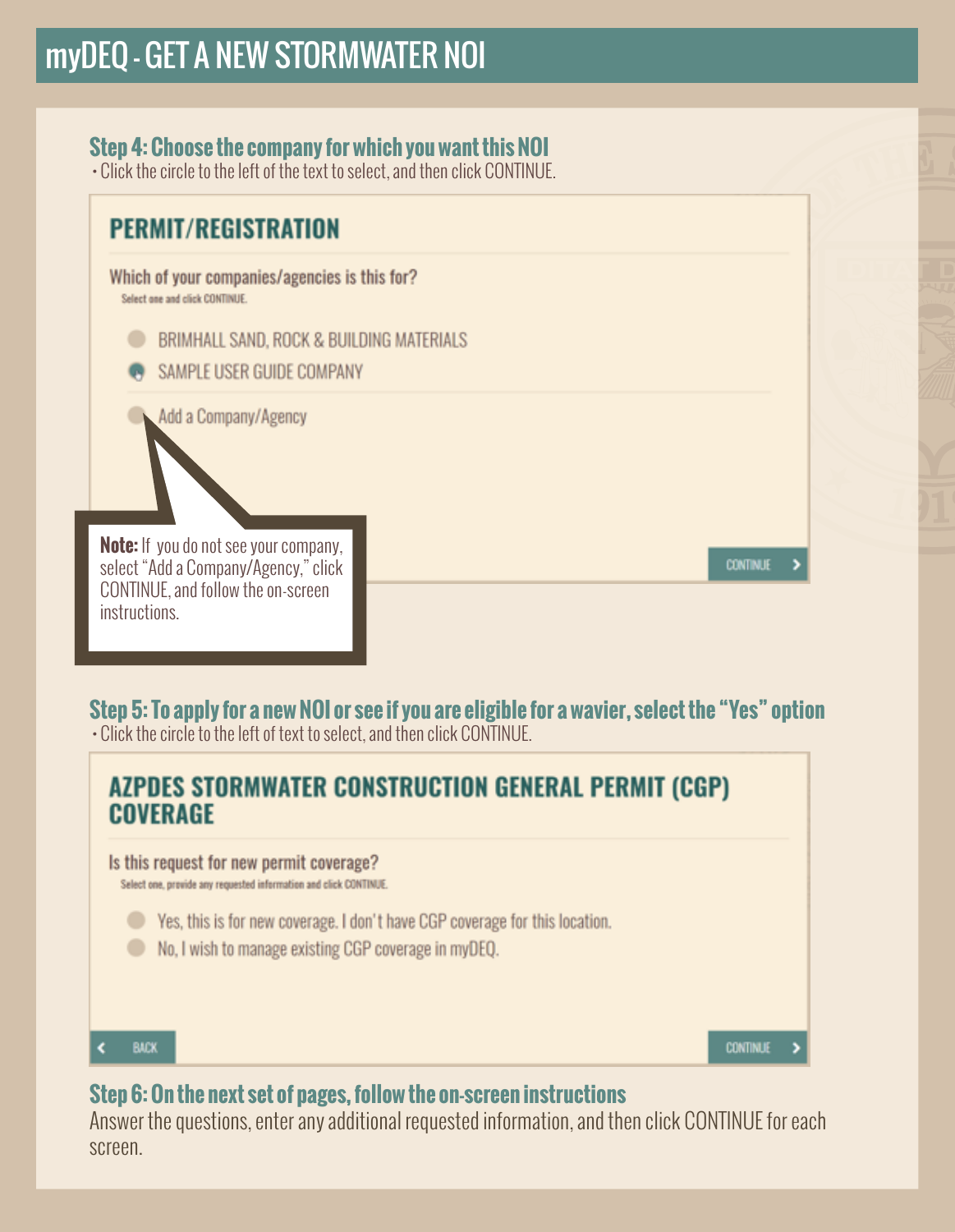#### **Step 4: Choose the company for which you want this NOI**

• Click the circle to the left of the text to select, and then click CONTINUE.

#### **PERMIT/REGISTRATION**

Which of your companies/agencies is this for? Select one and click CONTINUE.

BRIMHALL SAND, ROCK & BUILDING MATERIALS

SAMPLE USER GUIDE COMPANY

Add a Company/Agency

**Note:** If you do not see your company, select "Add a Company/Agency," click CONTINUE, and follow the on-screen instructions.

**CONTINUE** 

,

#### **Step 5: To apply for a new NOI or see if you are eligible for a wavier, select the "Yes" option**

• Click the circle to the left of text to select, and then click CONTINUE.

### AZPDES STORMWATER CONSTRUCTION GENERAL PERMIT (CGP) **COVERAGE** Is this request for new permit coverage? Select one, provide any requested information and click CONTINUE. • Yes, this is for new coverage. I don't have CGP coverage for this location. No. I wish to manage existing CGP coverage in myDEQ. **BACK** k. **CONTINUE**

#### **Step 6: On the next set of pages, follow the on-screen instructions**

Answer the questions, enter any additional requested information, and then click CONTINUE for each screen.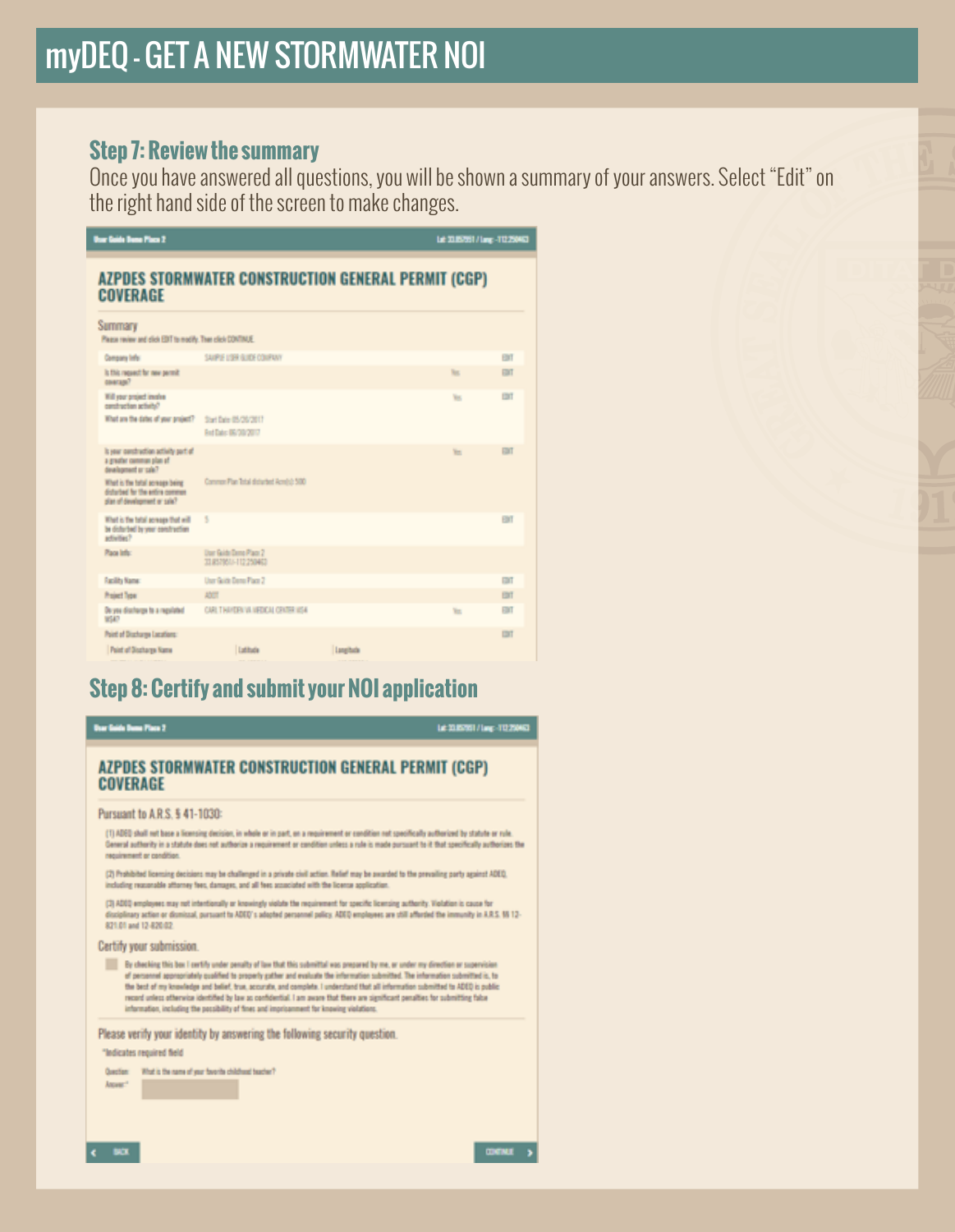#### **Step 7: Review the summary**

Once you have answered all questions, you will be shown a summary of your answers. Select "Edit" on the right hand side of the screen to make changes.

| <b>User Golds Dame Place 2</b>                                                                     |                                                     |           | L# 318751/Lmr -T1226451 |             |
|----------------------------------------------------------------------------------------------------|-----------------------------------------------------|-----------|-------------------------|-------------|
| <b>COVERAGE</b>                                                                                    | AZPDES STORMWATER CONSTRUCTION GENERAL PERMIT (CGP) |           |                         |             |
| Summary<br>Plaza review and click EDT to modify. Then click CONTINUE.                              |                                                     |           |                         |             |
| <b>Company lefs:</b>                                                                               | SAIPLE LISE GUIDE COMPANY                           |           |                         | <b>BMT</b>  |
| Is this request for new permit<br>авигало?                                                         |                                                     |           | he.                     | EDIT        |
| Will your project immine<br>centraction schedul?                                                   |                                                     |           | w                       | <b>CO</b> T |
| What are the dates of your project?                                                                | Start Date 05/26/2017<br>Red Date: 06/20/2017       |           |                         |             |
| It your construction activity part of<br>a greater common plan of<br>dealersed or cale?            |                                                     |           | Yes.                    | EDIT        |
| What is the total screage being<br>disturbed for the entire common<br>plan of development or sale? | Common Plan Total disturbed Acrelist: 500           |           |                         |             |
| What is the total screage that will<br>be disturbed by your construction<br>activities?            | 5                                                   |           |                         | EBIT        |
| Place lefts:                                                                                       | <b>Dar Gilb Dans Pace 7</b><br>TERRNA-112250403     |           |                         |             |
| <b>Racility Name</b>                                                                               | User Guide Dania Plaza 2                            |           |                         | EDIT        |
| <b>Project Type:</b>                                                                               | ADCT                                                |           |                         | EBIT        |
| Do you discharge to a regulated<br>WSA?                                                            | CARL T HAVEFA VA MEDICAL CENTER VISA                |           | <b>To</b>               | EDIT        |
| Point of Discharge Lecations:                                                                      |                                                     |           |                         | <b>DOT</b>  |
| <b>Point of Discharge Kerry</b>                                                                    | <b>Lutitude</b>                                     | Institute |                         |             |

#### **Step 8: Certify and submit your NOI application**

**Bur Saids Dans Place 2** Le 33.85761 / Lug - 112.258453 **AZPDES STORMWATER CONSTRUCTION GENERAL PERMIT (CGP) COVERAGE** Pursuant to A.R.S. § 41-1030: (1) ADEQ shall not base a licensing decision, in whole or in part, on a requirement or condition not specifically authorized by statute or rule General authority in a statute does not authorize a requirement or condition unless a rule is made pursuant to it that specifically authorizes the nequirement or condition. (2) Prohibited licensing decisions may be challenged in a private civil action. Relief may be awarded to the prevailing party against ADEQ. including reasonable attorney fees, damages, and all fees associated with the license application. (2) ADDQ employees may not intentionally or knowingly violate the requirement for specific licensing authority. Violation is cause for plinary action or dismissal, pursuant to ADED's adopted personnel policy. ADED employees are still afforded the immunity in A.R.S. 95 12-821.01 and 12-820.02 Certify your submission. By checking this box I certify under penalty of law that this submittal was prepared by me, or under my direction or superv of personnel appropriately qualified to properly gather and evaluate the information submitted. The information submitted is, to<br>the best of my knowledge and belief, true, accurate, and complete. I understand that all info record unless otherwise identified by law as confidential. I am aware that there are significant penalties for submitting false information, including the possibility of fines and imprisonment for knowing violations. Please verify your identity by answering the following security question. "Indicates required field Question: What is the name of your favorite childhood teacher? Answer<sup>+</sup>

 $\epsilon$  = 800.